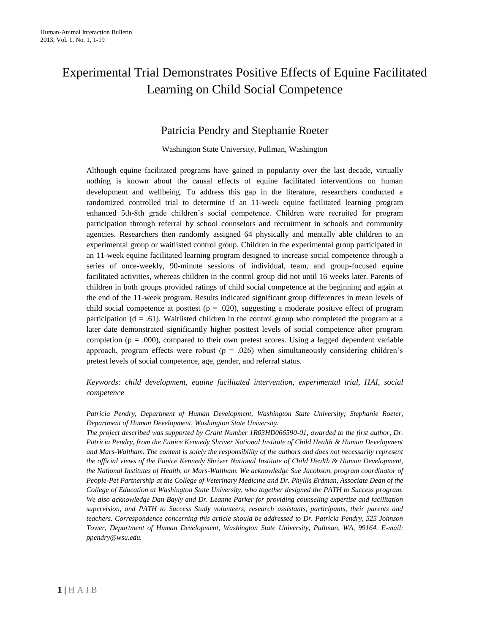# Experimental Trial Demonstrates Positive Effects of Equine Facilitated Learning on Child Social Competence

# Patricia Pendry and Stephanie Roeter

Washington State University, Pullman, Washington

Although equine facilitated programs have gained in popularity over the last decade, virtually nothing is known about the causal effects of equine facilitated interventions on human development and wellbeing. To address this gap in the literature, researchers conducted a randomized controlled trial to determine if an 11-week equine facilitated learning program enhanced 5th-8th grade children's social competence. Children were recruited for program participation through referral by school counselors and recruitment in schools and community agencies. Researchers then randomly assigned 64 physically and mentally able children to an experimental group or waitlisted control group. Children in the experimental group participated in an 11-week equine facilitated learning program designed to increase social competence through a series of once-weekly, 90-minute sessions of individual, team, and group-focused equine facilitated activities, whereas children in the control group did not until 16 weeks later. Parents of children in both groups provided ratings of child social competence at the beginning and again at the end of the 11-week program. Results indicated significant group differences in mean levels of child social competence at posttest ( $p = .020$ ), suggesting a moderate positive effect of program participation  $(d = .61)$ . Waitlisted children in the control group who completed the program at a later date demonstrated significantly higher posttest levels of social competence after program completion ( $p = .000$ ), compared to their own pretest scores. Using a lagged dependent variable approach, program effects were robust ( $p = .026$ ) when simultaneously considering children's pretest levels of social competence, age, gender, and referral status.

*Keywords: child development, equine facilitated intervention, experimental trial, HAI, social competence*

*Patricia Pendry, Department of Human Development, Washington State University; Stephanie Roeter, Department of Human Development, Washington State University.*

*The project described was supported by Grant Number 1R03HD066590-01, awarded to the first author, Dr. Patricia Pendry, from the Eunice Kennedy Shriver National Institute of Child Health & Human Development and Mars-Waltham. The content is solely the responsibility of the authors and does not necessarily represent the official views of the Eunice Kennedy Shriver National Institute of Child Health & Human Development, the National Institutes of Health, or Mars-Waltham. We acknowledge Sue Jacobson, program coordinator of People-Pet Partnership at the College of Veterinary Medicine and Dr. Phyllis Erdman, Associate Dean of the College of Education at Washington State University, who together designed the PATH to Success program. We also acknowledge Dan Bayly and Dr. Leanne Parker for providing counseling expertise and facilitation supervision, and PATH to Success Study volunteers, research assistants, participants, their parents and teachers. Correspondence concerning this article should be addressed to Dr. Patricia Pendry, 525 Johnson Tower, Department of Human Development, Washington State University, Pullman, WA, 99164. E-mail: ppendry@wsu.edu.*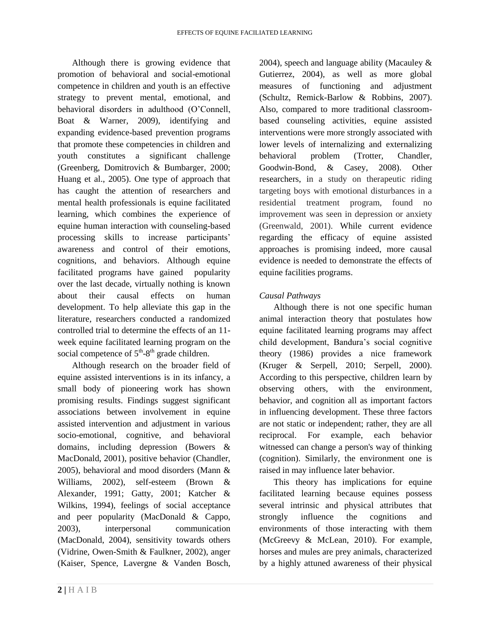Although there is growing evidence that promotion of behavioral and social-emotional competence in children and youth is an effective strategy to prevent mental, emotional, and behavioral disorders in adulthood (O'Connell, Boat & Warner, 2009), identifying and expanding evidence-based prevention programs that promote these competencies in children and youth constitutes a significant challenge (Greenberg, Domitrovich & Bumbarger, 2000; Huang et al., 2005). One type of approach that has caught the attention of researchers and mental health professionals is equine facilitated learning, which combines the experience of equine human interaction with counseling-based processing skills to increase participants' awareness and control of their emotions, cognitions, and behaviors. Although equine facilitated programs have gained popularity over the last decade, virtually nothing is known about their causal effects on human development. To help alleviate this gap in the literature, researchers conducted a randomized controlled trial to determine the effects of an 11 week equine facilitated learning program on the social competence of  $5<sup>th</sup>-8<sup>th</sup>$  grade children.

Although research on the broader field of equine assisted interventions is in its infancy, a small body of pioneering work has shown promising results. Findings suggest significant associations between involvement in equine assisted intervention and adjustment in various socio-emotional, cognitive, and behavioral domains, including depression (Bowers & MacDonald, 2001), positive behavior (Chandler, 2005), behavioral and mood disorders (Mann & Williams, 2002), self-esteem (Brown & Alexander, 1991; Gatty, 2001; Katcher & Wilkins, 1994), feelings of social acceptance and peer popularity (MacDonald & Cappo, 2003), interpersonal communication (MacDonald, 2004), sensitivity towards others (Vidrine, Owen-Smith & Faulkner, 2002), anger (Kaiser, Spence, Lavergne & Vanden Bosch,

2004), speech and language ability (Macauley & Gutierrez, 2004), as well as more global measures of functioning and adjustment (Schultz, Remick-Barlow & Robbins, 2007). Also, compared to more traditional classroombased counseling activities, equine assisted interventions were more strongly associated with lower levels of internalizing and externalizing behavioral problem (Trotter, Chandler, Goodwin-Bond, & Casey, 2008). Other researchers, in a study on therapeutic riding targeting boys with emotional disturbances in a residential treatment program, found no improvement was seen in depression or anxiety (Greenwald, 2001). While current evidence regarding the efficacy of equine assisted approaches is promising indeed, more causal evidence is needed to demonstrate the effects of equine facilities programs.

## *Causal Pathways*

Although there is not one specific human animal interaction theory that postulates how equine facilitated learning programs may affect child development, Bandura's social cognitive theory (1986) provides a nice framework (Kruger & Serpell, 2010; Serpell, 2000). According to this perspective, children learn by observing others, with the environment, behavior, and cognition all as important factors in influencing development. These three factors are not static or independent; rather, they are all reciprocal. For example, each behavior witnessed can change a person's way of thinking (cognition). Similarly, the environment one is raised in may influence later behavior.

This theory has implications for equine facilitated learning because equines possess several intrinsic and physical attributes that strongly influence the cognitions and environments of those interacting with them (McGreevy & McLean, 2010). For example, horses and mules are prey animals, characterized by a highly attuned awareness of their physical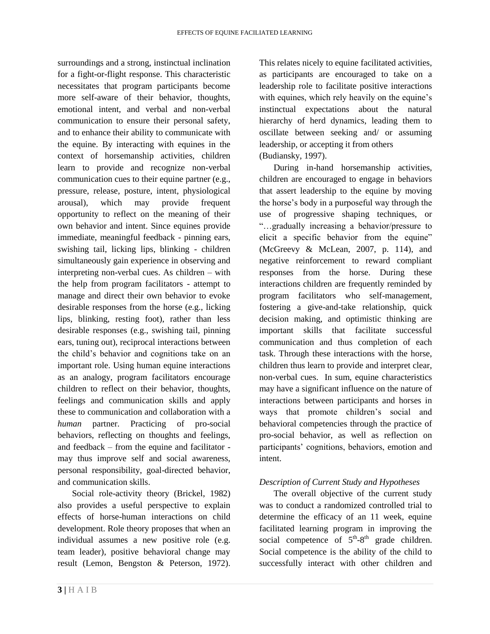surroundings and a strong, instinctual inclination for a fight-or-flight response. This characteristic necessitates that program participants become more self-aware of their behavior, thoughts, emotional intent, and verbal and non-verbal communication to ensure their personal safety, and to enhance their ability to communicate with the equine. By interacting with equines in the context of horsemanship activities, children learn to provide and recognize non-verbal communication cues to their equine partner (e.g., pressure, release, posture, intent, physiological arousal), which may provide frequent opportunity to reflect on the meaning of their own behavior and intent. Since equines provide immediate, meaningful feedback - pinning ears, swishing tail, licking lips, blinking - children simultaneously gain experience in observing and interpreting non-verbal cues. As children – with the help from program facilitators - attempt to manage and direct their own behavior to evoke desirable responses from the horse (e.g., licking lips, blinking, resting foot), rather than less desirable responses (e.g., swishing tail, pinning ears, tuning out), reciprocal interactions between the child's behavior and cognitions take on an important role. Using human equine interactions as an analogy, program facilitators encourage children to reflect on their behavior, thoughts, feelings and communication skills and apply these to communication and collaboration with a *human* partner. Practicing of pro-social behaviors, reflecting on thoughts and feelings, and feedback – from the equine and facilitator may thus improve self and social awareness, personal responsibility, goal-directed behavior, and communication skills.

Social role-activity theory (Brickel, 1982) also provides a useful perspective to explain effects of horse-human interactions on child development. Role theory proposes that when an individual assumes a new positive role (e.g. team leader), positive behavioral change may result (Lemon, Bengston & Peterson, 1972).

This relates nicely to equine facilitated activities, as participants are encouraged to take on a leadership role to facilitate positive interactions with equines, which rely heavily on the equine's instinctual expectations about the natural hierarchy of herd dynamics, leading them to oscillate between seeking and/ or assuming leadership, or accepting it from others (Budiansky, 1997).

During in-hand horsemanship activities, children are encouraged to engage in behaviors that assert leadership to the equine by moving the horse's body in a purposeful way through the use of progressive shaping techniques, or "…gradually increasing a behavior/pressure to elicit a specific behavior from the equine" (McGreevy & McLean, 2007, p. 114), and negative reinforcement to reward compliant responses from the horse. During these interactions children are frequently reminded by program facilitators who self-management, fostering a give-and-take relationship, quick decision making, and optimistic thinking are important skills that facilitate successful communication and thus completion of each task. Through these interactions with the horse, children thus learn to provide and interpret clear, non-verbal cues. In sum, equine characteristics may have a significant influence on the nature of interactions between participants and horses in ways that promote children's social and behavioral competencies through the practice of pro-social behavior, as well as reflection on participants' cognitions, behaviors, emotion and intent.

## *Description of Current Study and Hypotheses*

The overall objective of the current study was to conduct a randomized controlled trial to determine the efficacy of an 11 week, equine facilitated learning program in improving the social competence of  $5<sup>th</sup>-8<sup>th</sup>$  grade children. Social competence is the ability of the child to successfully interact with other children and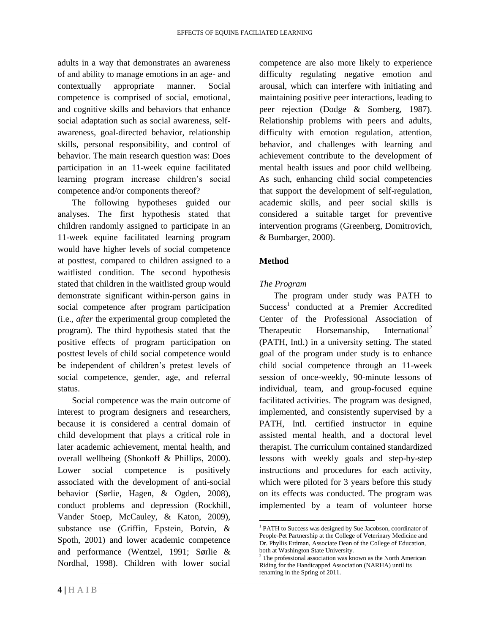adults in a way that demonstrates an awareness of and ability to manage emotions in an age- and contextually appropriate manner. Social competence is comprised of social, emotional, and cognitive skills and behaviors that enhance social adaptation such as social awareness, selfawareness, goal-directed behavior, relationship skills, personal responsibility, and control of behavior. The main research question was: Does participation in an 11-week equine facilitated learning program increase children's social competence and/or components thereof?

The following hypotheses guided our analyses. The first hypothesis stated that children randomly assigned to participate in an 11-week equine facilitated learning program would have higher levels of social competence at posttest, compared to children assigned to a waitlisted condition. The second hypothesis stated that children in the waitlisted group would demonstrate significant within-person gains in social competence after program participation (i.e., *after* the experimental group completed the program). The third hypothesis stated that the positive effects of program participation on posttest levels of child social competence would be independent of children's pretest levels of social competence, gender, age, and referral status.

Social competence was the main outcome of interest to program designers and researchers, because it is considered a central domain of child development that plays a critical role in later academic achievement, mental health, and overall wellbeing (Shonkoff & Phillips, 2000). Lower social competence is positively associated with the development of anti-social behavior (Sørlie, Hagen, & Ogden, 2008), conduct problems and depression (Rockhill, Vander Stoep, McCauley, & Katon, 2009), substance use (Griffin, Epstein, Botvin, & Spoth, 2001) and lower academic competence and performance (Wentzel, 1991; Sørlie & Nordhal, 1998). Children with lower social

competence are also more likely to experience difficulty regulating negative emotion and arousal, which can interfere with initiating and maintaining positive peer interactions, leading to peer rejection (Dodge & Somberg, 1987). Relationship problems with peers and adults, difficulty with emotion regulation, attention, behavior, and challenges with learning and achievement contribute to the development of mental health issues and poor child wellbeing. As such, enhancing child social competencies that support the development of self-regulation, academic skills, and peer social skills is considered a suitable target for preventive intervention programs (Greenberg, Domitrovich, & Bumbarger, 2000).

## **Method**

 $\overline{\phantom{a}}$ 

## *The Program*

The program under study was PATH to Success<sup>1</sup> conducted at a Premier Accredited Center of the Professional Association of Therapeutic Horsemanship, International<sup>2</sup> (PATH, Intl.) in a university setting. The stated goal of the program under study is to enhance child social competence through an 11-week session of once-weekly, 90-minute lessons of individual, team, and group-focused equine facilitated activities. The program was designed, implemented, and consistently supervised by a PATH, Intl. certified instructor in equine assisted mental health, and a doctoral level therapist. The curriculum contained standardized lessons with weekly goals and step-by-step instructions and procedures for each activity, which were piloted for 3 years before this study on its effects was conducted. The program was implemented by a team of volunteer horse

<sup>&</sup>lt;sup>1</sup> PATH to Success was designed by Sue Jacobson, coordinator of People-Pet Partnership at the College of Veterinary Medicine and Dr. Phyllis Erdman, Associate Dean of the College of Education, both at Washington State University.

The professional association was known as the North American Riding for the Handicapped Association (NARHA) until its renaming in the Spring of 2011.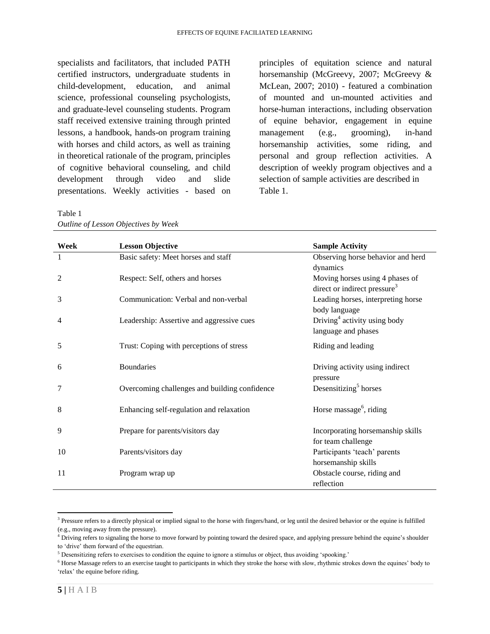specialists and facilitators, that included PATH certified instructors, undergraduate students in child-development, education, and animal science, professional counseling psychologists, and graduate-level counseling students. Program staff received extensive training through printed lessons, a handbook, hands-on program training with horses and child actors, as well as training in theoretical rationale of the program, principles of cognitive behavioral counseling, and child development through video and slide presentations. Weekly activities - based on principles of equitation science and natural horsemanship (McGreevy, 2007; McGreevy & McLean, 2007; 2010) - featured a combination of mounted and un-mounted activities and horse-human interactions, including observation of equine behavior, engagement in equine management (e.g., grooming), in-hand horsemanship activities, some riding, and personal and group reflection activities. A description of weekly program objectives and a selection of sample activities are described in Table 1.

| Week | <b>Lesson Objective</b>                       | <b>Sample Activity</b>                   |
|------|-----------------------------------------------|------------------------------------------|
|      | Basic safety: Meet horses and staff           | Observing horse behavior and herd        |
|      |                                               | dynamics                                 |
| 2    | Respect: Self, others and horses              | Moving horses using 4 phases of          |
|      |                                               | direct or indirect pressure <sup>3</sup> |
| 3    | Communication: Verbal and non-verbal          | Leading horses, interpreting horse       |
|      |                                               | body language                            |
| 4    | Leadership: Assertive and aggressive cues     | Driving <sup>4</sup> activity using body |
|      |                                               | language and phases                      |
| 5    | Trust: Coping with perceptions of stress      | Riding and leading                       |
|      |                                               |                                          |
| 6    | <b>Boundaries</b>                             | Driving activity using indirect          |
|      |                                               | pressure                                 |
| 7    | Overcoming challenges and building confidence | Desensitizing <sup>5</sup> horses        |
|      |                                               |                                          |
| 8    | Enhancing self-regulation and relaxation      | Horse massage <sup>6</sup> , riding      |
|      |                                               |                                          |
| 9    | Prepare for parents/visitors day              | Incorporating horsemanship skills        |
|      |                                               | for team challenge                       |
| 10   | Parents/visitors day                          | Participants 'teach' parents             |
|      |                                               | horsemanship skills                      |
| 11   | Program wrap up                               | Obstacle course, riding and              |
|      |                                               | reflection                               |

Table 1 *Outline of Lesson Objectives by Week*

 $\overline{\phantom{a}}$ <sup>3</sup> Pressure refers to a directly physical or implied signal to the horse with fingers/hand, or leg until the desired behavior or the equine is fulfilled (e.g., moving away from the pressure).

<sup>4</sup> Driving refers to signaling the horse to move forward by pointing toward the desired space, and applying pressure behind the equine's shoulder to 'drive' them forward of the equestrian.

<sup>5</sup> Desensitizing refers to exercises to condition the equine to ignore a stimulus or object, thus avoiding 'spooking.'

<sup>6</sup> Horse Massage refers to an exercise taught to participants in which they stroke the horse with slow, rhythmic strokes down the equines' body to 'relax' the equine before riding.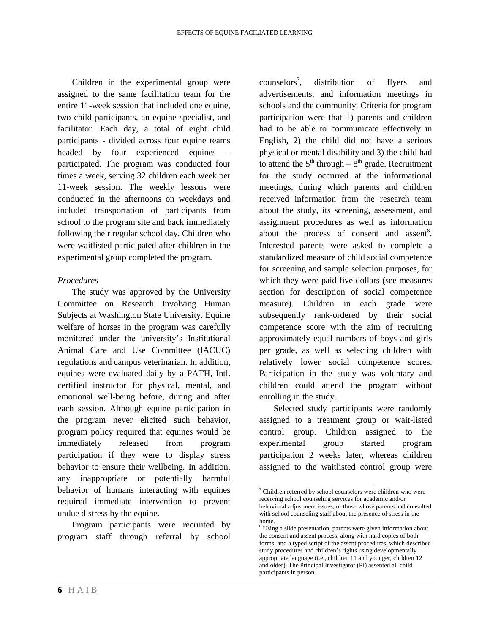Children in the experimental group were assigned to the same facilitation team for the entire 11-week session that included one equine, two child participants, an equine specialist, and facilitator. Each day, a total of eight child participants - divided across four equine teams headed by four experienced equines participated. The program was conducted four times a week, serving 32 children each week per 11-week session. The weekly lessons were conducted in the afternoons on weekdays and included transportation of participants from school to the program site and back immediately following their regular school day. Children who were waitlisted participated after children in the experimental group completed the program.

#### *Procedures*

The study was approved by the University Committee on Research Involving Human Subjects at Washington State University. Equine welfare of horses in the program was carefully monitored under the university's Institutional Animal Care and Use Committee (IACUC) regulations and campus veterinarian. In addition, equines were evaluated daily by a PATH, Intl. certified instructor for physical, mental, and emotional well-being before, during and after each session. Although equine participation in the program never elicited such behavior, program policy required that equines would be immediately released from program participation if they were to display stress behavior to ensure their wellbeing. In addition, any inappropriate or potentially harmful behavior of humans interacting with equines required immediate intervention to prevent undue distress by the equine.

Program participants were recruited by program staff through referral by school

counselors<sup>7</sup>. , distribution of flyers and advertisements, and information meetings in schools and the community. Criteria for program participation were that 1) parents and children had to be able to communicate effectively in English, 2) the child did not have a serious physical or mental disability and 3) the child had to attend the  $5<sup>th</sup>$  through  $-8<sup>th</sup>$  grade. Recruitment for the study occurred at the informational meetings, during which parents and children received information from the research team about the study, its screening, assessment, and assignment procedures as well as information about the process of consent and assent<sup>8</sup>. Interested parents were asked to complete a standardized measure of child social competence for screening and sample selection purposes, for which they were paid five dollars (see measures section for description of social competence measure). Children in each grade were subsequently rank-ordered by their social competence score with the aim of recruiting approximately equal numbers of boys and girls per grade, as well as selecting children with relatively lower social competence scores. Participation in the study was voluntary and children could attend the program without enrolling in the study.

Selected study participants were randomly assigned to a treatment group or wait-listed control group. Children assigned to the experimental group started program participation 2 weeks later, whereas children assigned to the waitlisted control group were

 $\overline{\phantom{a}}$ 

 $7$  Children referred by school counselors were children who were receiving school counseling services for academic and/or behavioral adjustment issues, or those whose parents had consulted with school counseling staff about the presence of stress in the home.

<sup>&</sup>lt;sup>8</sup> Using a slide presentation, parents were given information about the consent and assent process, along with hard copies of both forms, and a typed script of the assent procedures, which described study procedures and children's rights using developmentally appropriate language (i.e., children 11 and younger, children 12 and older). The Principal Investigator (PI) assented all child participants in person.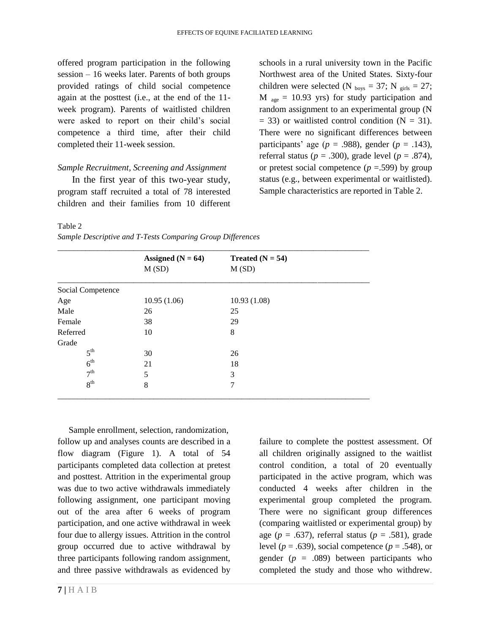offered program participation in the following session – 16 weeks later. Parents of both groups provided ratings of child social competence again at the posttest (i.e., at the end of the 11 week program). Parents of waitlisted children were asked to report on their child's social competence a third time, after their child completed their 11-week session.

#### *Sample Recruitment, Screening and Assignment*

In the first year of this two-year study, program staff recruited a total of 78 interested children and their families from 10 different schools in a rural university town in the Pacific Northwest area of the United States. Sixty-four children were selected (N  $_{\text{boys}} = 37$ ; N  $_{\text{grils}} = 27$ ;  $M_{\text{age}} = 10.93$  yrs) for study participation and random assignment to an experimental group (N  $=$  33) or waitlisted control condition (N  $=$  31). There were no significant differences between participants' age ( $p = .988$ ), gender ( $p = .143$ ), referral status ( $p = .300$ ), grade level ( $p = .874$ ), or pretest social competence  $(p = .599)$  by group status (e.g., between experimental or waitlisted). Sample characteristics are reported in Table 2.

#### Table 2

|  |  | Sample Descriptive and T-Tests Comparing Group Differences |  |  |  |
|--|--|------------------------------------------------------------|--|--|--|
|--|--|------------------------------------------------------------|--|--|--|

|                   | Assigned $(N = 64)$ | Treated $(N = 54)$ |  |
|-------------------|---------------------|--------------------|--|
|                   | M(SD)               | M(SD)              |  |
| Social Competence |                     |                    |  |
| Age               | 10.95(1.06)         | 10.93(1.08)        |  |
| Male              | 26                  | 25                 |  |
| Female            | 38                  | 29                 |  |
| Referred          | 10                  | 8                  |  |
| Grade             |                     |                    |  |
| 5 <sup>th</sup>   | 30                  | 26                 |  |
| 6 <sup>th</sup>   | 21                  | 18                 |  |
| 7 <sup>th</sup>   | 5                   | 3                  |  |
| 8 <sup>th</sup>   | 8                   | 7                  |  |

 Sample enrollment, selection, randomization, follow up and analyses counts are described in a flow diagram (Figure 1). A total of 54 participants completed data collection at pretest and posttest. Attrition in the experimental group was due to two active withdrawals immediately following assignment, one participant moving out of the area after 6 weeks of program participation, and one active withdrawal in week four due to allergy issues. Attrition in the control group occurred due to active withdrawal by three participants following random assignment, and three passive withdrawals as evidenced by

failure to complete the posttest assessment. Of all children originally assigned to the waitlist control condition, a total of 20 eventually participated in the active program, which was conducted 4 weeks after children in the experimental group completed the program. There were no significant group differences (comparing waitlisted or experimental group) by age ( $p = .637$ ), referral status ( $p = .581$ ), grade level ( $p = .639$ ), social competence ( $p = .548$ ), or gender (*p* = .089) between participants who completed the study and those who withdrew.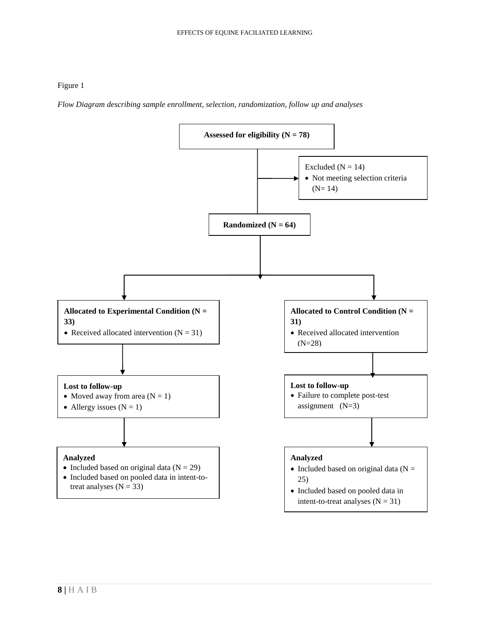#### Figure 1

*Flow Diagram describing sample enrollment, selection, randomization, follow up and analyses*

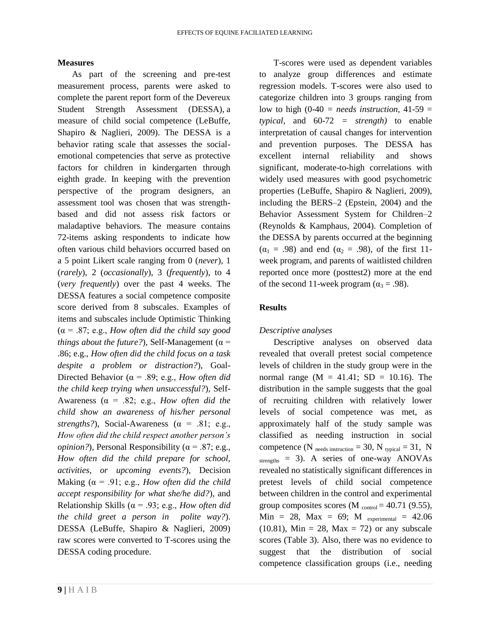#### **Measures**

As part of the screening and pre-test measurement process, parents were asked to complete the parent report form of the Devereux Student Strength Assessment (DESSA), a measure of child social competence (LeBuffe, Shapiro & Naglieri, 2009). The DESSA is a behavior rating scale that assesses the socialemotional competencies that serve as protective factors for children in kindergarten through eighth grade. In keeping with the prevention perspective of the program designers, an assessment tool was chosen that was strengthbased and did not assess risk factors or maladaptive behaviors. The measure contains 72-items asking respondents to indicate how often various child behaviors occurred based on a 5 point Likert scale ranging from 0 (*never*), 1 (*rarely*), 2 (*occasionally*), 3 (*frequently*), to 4 (*very frequently*) over the past 4 weeks. The DESSA features a social competence composite score derived from 8 subscales. Examples of items and subscales include Optimistic Thinking (α = .87; e.g., *How often did the child say good things about the future?*), Self-Management ( $\alpha$  = .86; e.g., *How often did the child focus on a task despite a problem or distraction?*), Goal-Directed Behavior ( $\alpha$  = .89; e.g., *How often did the child keep trying when unsuccessful?*), Self-Awareness (α = .82; e.g., *How often did the child show an awareness of his/her personal strengths?*), Social-Awareness  $(\alpha = .81; e.g.,$ *How often did the child respect another person's opinion?*), Personal Responsibility ( $\alpha$  = .87; e.g., *How often did the child prepare for school, activities, or upcoming events?*), Decision Making  $(\alpha = .91; e.g., How often did the child)$ *accept responsibility for what she/he did?*), and Relationship Skills ( $\alpha$  = .93; e.g., *How often did the child greet a person in polite way?*). DESSA (LeBuffe, Shapiro & Naglieri, 2009) raw scores were converted to T-scores using the DESSA coding procedure.

T-scores were used as dependent variables to analyze group differences and estimate regression models. T-scores were also used to categorize children into 3 groups ranging from low to high  $(0-40)$  = *needs instruction*,  $41-59$  = *typical,* and 60-72 *= strength)* to enable interpretation of causal changes for intervention and prevention purposes. The DESSA has excellent internal reliability and shows significant, moderate-to-high correlations with widely used measures with good psychometric properties (LeBuffe, Shapiro & Naglieri, 2009), including the BERS–2 (Epstein, 2004) and the Behavior Assessment System for Children–2 (Reynolds & Kamphaus, 2004). Completion of the DESSA by parents occurred at the beginning  $(\alpha_1 = .98)$  and end  $(\alpha_2 = .98)$ , of the first 11week program, and parents of waitlisted children reported once more (posttest2) more at the end of the second 11-week program ( $\alpha_3 = .98$ ).

#### **Results**

#### *Descriptive analyses*

Descriptive analyses on observed data revealed that overall pretest social competence levels of children in the study group were in the normal range  $(M = 41.41; SD = 10.16)$ . The distribution in the sample suggests that the goal of recruiting children with relatively lower levels of social competence was met, as approximately half of the study sample was classified as needing instruction in social competence (N  $_{\text{needs instruction}} = 30$ , N  $_{\text{typical}} = 31$ , N  $_{\text{strengths}}$  = 3). A series of one-way ANOVAs revealed no statistically significant differences in pretest levels of child social competence between children in the control and experimental group composites scores (M  $_{\text{control}} = 40.71$  (9.55),  $Min = 28$ ,  $Max = 69$ ;  $M$  experimental = 42.06  $(10.81)$ , Min = 28, Max = 72) or any subscale scores (Table 3). Also, there was no evidence to suggest that the distribution of social competence classification groups (i.e., needing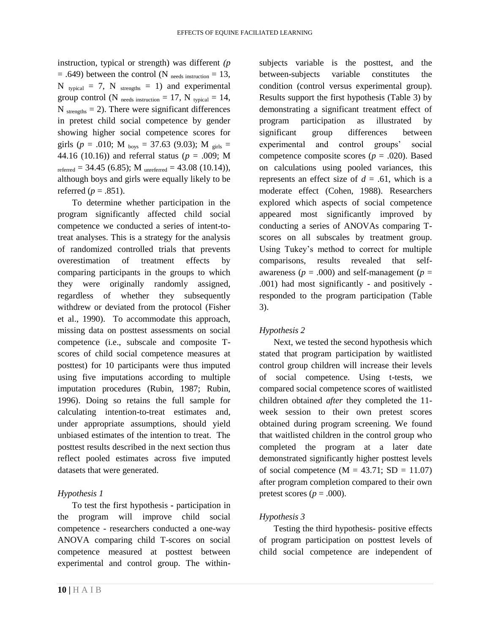instruction, typical or strength) was different *(p*  $= .649$ ) between the control (N <sub>needs instruction</sub>  $= 13$ ,  $N$  typical = 7,  $N$  strengths = 1) and experimental group control (N needs instruction = 17, N typical = 14,  $N_{\text{strengths}} = 2$ ). There were significant differences in pretest child social competence by gender showing higher social competence scores for girls ( $p = .010$ ; M <sub>boys</sub> = 37.63 (9.03); M <sub>girls</sub> = 44.16 (10.16)) and referral status (*p* = .009; M referred = 34.45 (6.85); M unreferred = 43.08 (10.14)), although boys and girls were equally likely to be referred ( $p = .851$ ).

To determine whether participation in the program significantly affected child social competence we conducted a series of intent-totreat analyses. This is a strategy for the analysis of randomized controlled trials that prevents overestimation of treatment effects by comparing participants in the groups to which they were originally randomly assigned, regardless of whether they subsequently withdrew or deviated from the protocol (Fisher et al., 1990). To accommodate this approach, missing data on posttest assessments on social competence (i.e., subscale and composite Tscores of child social competence measures at posttest) for 10 participants were thus imputed using five imputations according to multiple imputation procedures (Rubin, 1987; Rubin, 1996). Doing so retains the full sample for calculating intention-to-treat estimates and, under appropriate assumptions, should yield unbiased estimates of the intention to treat. The posttest results described in the next section thus reflect pooled estimates across five imputed datasets that were generated.

#### *Hypothesis 1*

To test the first hypothesis **-** participation in the program will improve child social competence - researchers conducted a one-way ANOVA comparing child T-scores on social competence measured at posttest between experimental and control group. The withinsubjects variable is the posttest, and the between-subjects variable constitutes the condition (control versus experimental group). Results support the first hypothesis (Table 3) by demonstrating a significant treatment effect of program participation as illustrated by significant group differences between experimental and control groups' social competence composite scores (*p* = .020). Based on calculations using pooled variances, this represents an effect size of  $d = .61$ , which is a moderate effect (Cohen, 1988). Researchers explored which aspects of social competence appeared most significantly improved by conducting a series of ANOVAs comparing Tscores on all subscales by treatment group. Using Tukey's method to correct for multiple comparisons, results revealed that selfawareness ( $p = .000$ ) and self-management ( $p =$ .001) had most significantly - and positively responded to the program participation (Table 3).

## *Hypothesis 2*

Next, we tested the second hypothesis which stated that program participation by waitlisted control group children will increase their levels of social competence. Using t-tests, we compared social competence scores of waitlisted children obtained *after* they completed the 11 week session to their own pretest scores obtained during program screening. We found that waitlisted children in the control group who completed the program at a later date demonstrated significantly higher posttest levels of social competence  $(M = 43.71; SD = 11.07)$ after program completion compared to their own pretest scores ( $p = .000$ ).

## *Hypothesis 3*

Testing the third hypothesis- positive effects of program participation on posttest levels of child social competence are independent of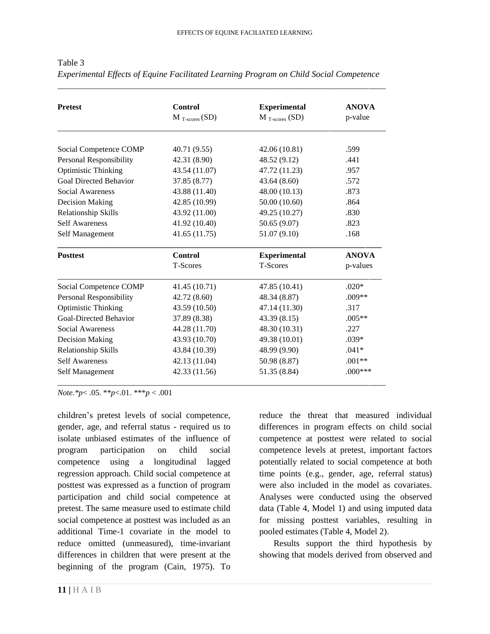| <b>Pretest</b>                | Control                    | <b>Experimental</b>        | <b>ANOVA</b> |
|-------------------------------|----------------------------|----------------------------|--------------|
|                               | $M_{T\text{-}scores} (SD)$ | $M_{T\text{-}scores}$ (SD) | p-value      |
|                               |                            |                            |              |
| Social Competence COMP        | 40.71 (9.55)               | 42.06(10.81)               | .599         |
| Personal Responsibility       | 42.31 (8.90)               | 48.52 (9.12)               | .441         |
| <b>Optimistic Thinking</b>    | 43.54 (11.07)              | 47.72 (11.23)              | .957         |
| <b>Goal Directed Behavior</b> | 37.85 (8.77)               | 43.64(8.60)                | .572         |
| Social Awareness              | 43.88 (11.40)              | 48.00 (10.13)              | .873         |
| <b>Decision Making</b>        | 42.85 (10.99)              | 50.00 (10.60)              | .864         |
| Relationship Skills           | 43.92 (11.00)              | 49.25 (10.27)              | .830         |
| <b>Self Awareness</b>         | 41.92 (10.40)              | 50.65 (9.07)               | .823         |
| Self Management               | 41.65(11.75)               | 51.07 (9.10)               | .168         |
| <b>Posttest</b>               | <b>Control</b>             | <b>Experimental</b>        | <b>ANOVA</b> |
|                               | T-Scores                   | T-Scores                   | p-values     |
| Social Competence COMP        | 41.45 (10.71)              | 47.85 (10.41)              | $.020*$      |
| Personal Responsibility       | 42.72 (8.60)               | 48.34 (8.87)               | $.009**$     |
| <b>Optimistic Thinking</b>    | 43.59 (10.50)              | 47.14 (11.30)              | .317         |
| Goal-Directed Behavior        | 37.89 (8.38)               | 43.39(8.15)                | $.005**$     |
| Social Awareness              | 44.28 (11.70)              | 48.30 (10.31)              | .227         |
| <b>Decision Making</b>        | 43.93 (10.70)              | 49.38 (10.01)              | $.039*$      |
| Relationship Skills           | 43.84 (10.39)              | 48.99 (9.90)               | $.041*$      |
| <b>Self Awareness</b>         | 42.13 (11.04)              | 50.98 (8.87)               | $.001**$     |
|                               | 42.33 (11.56)              | 51.35 (8.84)               | $.000***$    |

Table 3 *Experimental Effects of Equine Facilitated Learning Program on Child Social Competence*

*\_\_\_\_\_\_\_\_\_\_\_\_\_\_\_\_\_\_\_\_\_\_\_\_\_\_\_\_\_\_\_\_\_\_\_\_\_\_\_\_\_\_\_\_\_\_\_\_\_\_\_\_\_\_\_\_\_\_\_\_\_\_\_\_\_\_\_\_\_\_\_\_\_\_\_\_\_\_\_\_\_\_*

*Note.\*p*< .05. \*\**p*<.01. \*\*\**p* < .001

children's pretest levels of social competence, gender, age, and referral status - required us to isolate unbiased estimates of the influence of program participation on child social competence using a longitudinal lagged regression approach. Child social competence at posttest was expressed as a function of program participation and child social competence at pretest. The same measure used to estimate child social competence at posttest was included as an additional Time-1 covariate in the model to reduce omitted (unmeasured), time-invariant differences in children that were present at the beginning of the program (Cain, 1975). To

reduce the threat that measured individual differences in program effects on child social competence at posttest were related to social competence levels at pretest, important factors potentially related to social competence at both time points (e.g., gender, age, referral status) were also included in the model as covariates. Analyses were conducted using the observed data (Table 4, Model 1) and using imputed data for missing posttest variables, resulting in pooled estimates (Table 4, Model 2).

Results support the third hypothesis by showing that models derived from observed and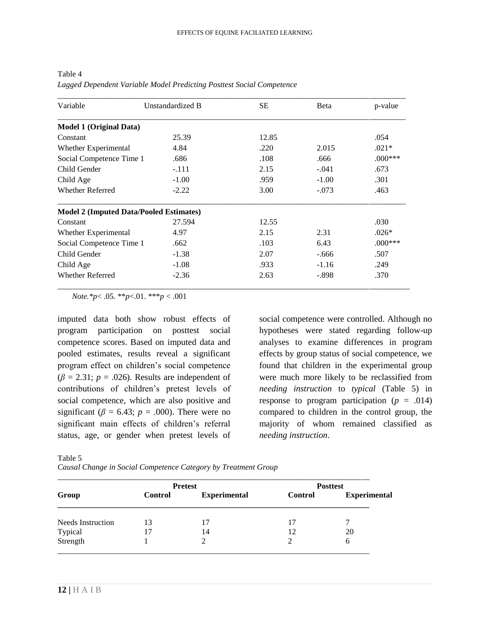| Variable                                       | Unstandardized B | <b>SE</b> | <b>B</b> eta | p-value   |
|------------------------------------------------|------------------|-----------|--------------|-----------|
| <b>Model 1 (Original Data)</b>                 |                  |           |              |           |
| Constant                                       | 25.39            | 12.85     |              | .054      |
| Whether Experimental                           | 4.84             | .220      | 2.015        | $.021*$   |
| Social Competence Time 1                       | .686             | .108      | .666         | $.000***$ |
| Child Gender                                   | $-.111$          | 2.15      | $-.041$      | .673      |
| Child Age                                      | $-1.00$          | .959      | $-1.00$      | .301      |
| Whether Referred                               | $-2.22$          | 3.00      | $-.073$      | .463      |
| <b>Model 2 (Imputed Data/Pooled Estimates)</b> |                  |           |              |           |
| Constant                                       | 27.594           | 12.55     |              | .030      |
| Whether Experimental                           | 4.97             | 2.15      | 2.31         | $.026*$   |
| Social Competence Time 1                       | .662             | .103      | 6.43         | $.000***$ |
| Child Gender                                   | $-1.38$          | 2.07      | $-.666$      | .507      |
| Child Age                                      | $-1.08$          | .933      | $-1.16$      | .249      |
| <b>Whether Referred</b>                        | $-2.36$          | 2.63      | $-.898$      | .370      |

Table 4 *Lagged Dependent Variable Model Predicting Posttest Social Competence* 

*Note.\*p*< .05. \*\**p*<.01. \*\*\**p* < .001

imputed data both show robust effects of program participation on posttest social competence scores. Based on imputed data and pooled estimates, results reveal a significant program effect on children's social competence  $(\beta = 2.31; p = .026)$ . Results are independent of contributions of children's pretest levels of social competence, which are also positive and significant ( $\beta$  = 6.43;  $p$  = .000). There were no significant main effects of children's referral status, age, or gender when pretest levels of social competence were controlled. Although no hypotheses were stated regarding follow-up analyses to examine differences in program effects by group status of social competence, we found that children in the experimental group were much more likely to be reclassified from *needing instruction* to *typical* (Table 5) in response to program participation ( $p = .014$ ) compared to children in the control group, the majority of whom remained classified as *needing instruction*.

Table 5

*Causal Change in Social Competence Category by Treatment Group*

|                     | <b>Pretest</b> |                     | <b>Posttest</b> |                     |
|---------------------|----------------|---------------------|-----------------|---------------------|
| Group               | <b>Control</b> | <b>Experimental</b> | <b>Control</b>  | <b>Experimental</b> |
| Needs Instruction   | 13             | 17                  | 17              |                     |
|                     | 17             | 14                  | 12              | 20                  |
| Typical<br>Strength |                |                     |                 | b                   |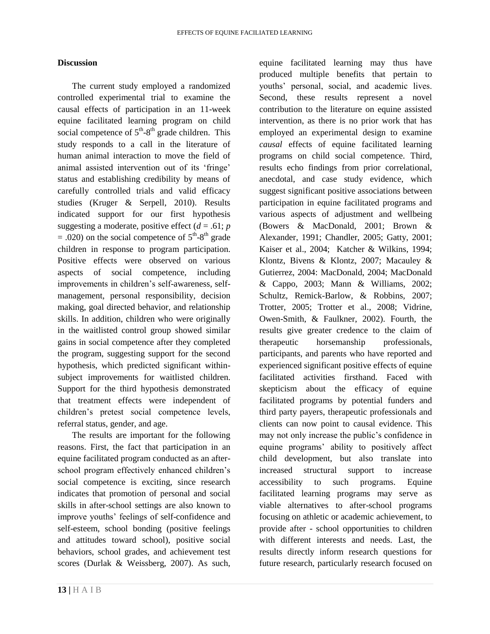#### **Discussion**

The current study employed a randomized controlled experimental trial to examine the causal effects of participation in an 11-week equine facilitated learning program on child social competence of  $5<sup>th</sup>-8<sup>th</sup>$  grade children. This study responds to a call in the literature of human animal interaction to move the field of animal assisted intervention out of its 'fringe' status and establishing credibility by means of carefully controlled trials and valid efficacy studies (Kruger & Serpell, 2010). Results indicated support for our first hypothesis suggesting a moderate, positive effect  $(d = .61; p)$  $= .020$ ) on the social competence of  $5<sup>th</sup> - 8<sup>th</sup>$  grade children in response to program participation. Positive effects were observed on various aspects of social competence, including improvements in children's self-awareness, selfmanagement, personal responsibility, decision making, goal directed behavior, and relationship skills. In addition, children who were originally in the waitlisted control group showed similar gains in social competence after they completed the program, suggesting support for the second hypothesis, which predicted significant withinsubject improvements for waitlisted children. Support for the third hypothesis demonstrated that treatment effects were independent of children's pretest social competence levels, referral status, gender, and age.

The results are important for the following reasons. First, the fact that participation in an equine facilitated program conducted as an afterschool program effectively enhanced children's social competence is exciting, since research indicates that promotion of personal and social skills in after-school settings are also known to improve youths' feelings of self-confidence and self-esteem, school bonding (positive feelings and attitudes toward school), positive social behaviors, school grades, and achievement test scores (Durlak & Weissberg, 2007). As such,

equine facilitated learning may thus have produced multiple benefits that pertain to youths' personal, social, and academic lives. Second, these results represent a novel contribution to the literature on equine assisted intervention, as there is no prior work that has employed an experimental design to examine *causal* effects of equine facilitated learning programs on child social competence. Third, results echo findings from prior correlational, anecdotal, and case study evidence, which suggest significant positive associations between participation in equine facilitated programs and various aspects of adjustment and wellbeing (Bowers & MacDonald, 2001; Brown & Alexander, 1991; Chandler, 2005; Gatty, 2001; Kaiser et al., 2004; Katcher & Wilkins, 1994; Klontz, Bivens & Klontz, 2007; Macauley & Gutierrez, 2004: MacDonald, 2004; MacDonald & Cappo, 2003; Mann & Williams, 2002; Schultz, Remick-Barlow, & Robbins, 2007; Trotter, 2005; Trotter et al., 2008; Vidrine, Owen-Smith, & Faulkner, 2002). Fourth, the results give greater credence to the claim of therapeutic horsemanship professionals, participants, and parents who have reported and experienced significant positive effects of equine facilitated activities firsthand. Faced with skepticism about the efficacy of equine facilitated programs by potential funders and third party payers, therapeutic professionals and clients can now point to causal evidence. This may not only increase the public's confidence in equine programs' ability to positively affect child development, but also translate into increased structural support to increase accessibility to such programs. Equine facilitated learning programs may serve as viable alternatives to after-school programs focusing on athletic or academic achievement, to provide after - school opportunities to children with different interests and needs. Last, the results directly inform research questions for future research, particularly research focused on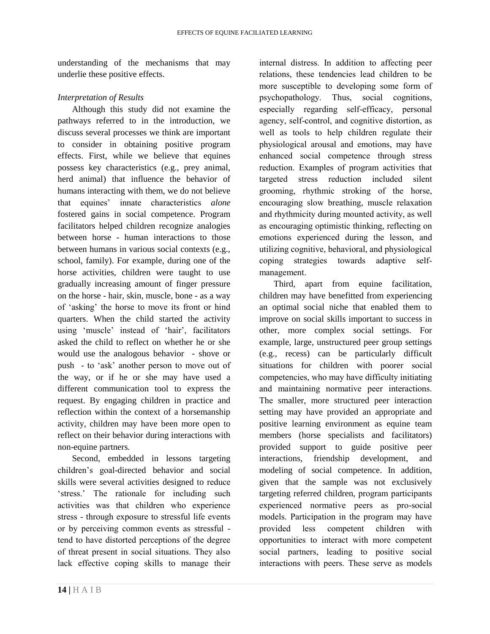understanding of the mechanisms that may underlie these positive effects.

#### *Interpretation of Results*

Although this study did not examine the pathways referred to in the introduction, we discuss several processes we think are important to consider in obtaining positive program effects. First, while we believe that equines possess key characteristics (e.g., prey animal, herd animal) that influence the behavior of humans interacting with them, we do not believe that equines' innate characteristics *alone* fostered gains in social competence. Program facilitators helped children recognize analogies between horse - human interactions to those between humans in various social contexts (e.g., school, family). For example, during one of the horse activities, children were taught to use gradually increasing amount of finger pressure on the horse - hair, skin, muscle, bone - as a way of 'asking' the horse to move its front or hind quarters. When the child started the activity using 'muscle' instead of 'hair', facilitators asked the child to reflect on whether he or she would use the analogous behavior - shove or push - to 'ask' another person to move out of the way, or if he or she may have used a different communication tool to express the request. By engaging children in practice and reflection within the context of a horsemanship activity, children may have been more open to reflect on their behavior during interactions with non-equine partners.

Second, embedded in lessons targeting children's goal-directed behavior and social skills were several activities designed to reduce 'stress.' The rationale for including such activities was that children who experience stress - through exposure to stressful life events or by perceiving common events as stressful tend to have distorted perceptions of the degree of threat present in social situations. They also lack effective coping skills to manage their internal distress. In addition to affecting peer relations, these tendencies lead children to be more susceptible to developing some form of psychopathology. Thus, social cognitions, especially regarding self-efficacy, personal agency, self-control, and cognitive distortion, as well as tools to help children regulate their physiological arousal and emotions, may have enhanced social competence through stress reduction. Examples of program activities that targeted stress reduction included silent grooming, rhythmic stroking of the horse, encouraging slow breathing, muscle relaxation and rhythmicity during mounted activity, as well as encouraging optimistic thinking, reflecting on emotions experienced during the lesson, and utilizing cognitive, behavioral, and physiological coping strategies towards adaptive selfmanagement.

Third, apart from equine facilitation, children may have benefitted from experiencing an optimal social niche that enabled them to improve on social skills important to success in other, more complex social settings. For example, large, unstructured peer group settings (e.g., recess) can be particularly difficult situations for children with poorer social competencies, who may have difficulty initiating and maintaining normative peer interactions. The smaller, more structured peer interaction setting may have provided an appropriate and positive learning environment as equine team members (horse specialists and facilitators) provided support to guide positive peer interactions, friendship development, and modeling of social competence. In addition, given that the sample was not exclusively targeting referred children, program participants experienced normative peers as pro-social models. Participation in the program may have provided less competent children with opportunities to interact with more competent social partners, leading to positive social interactions with peers. These serve as models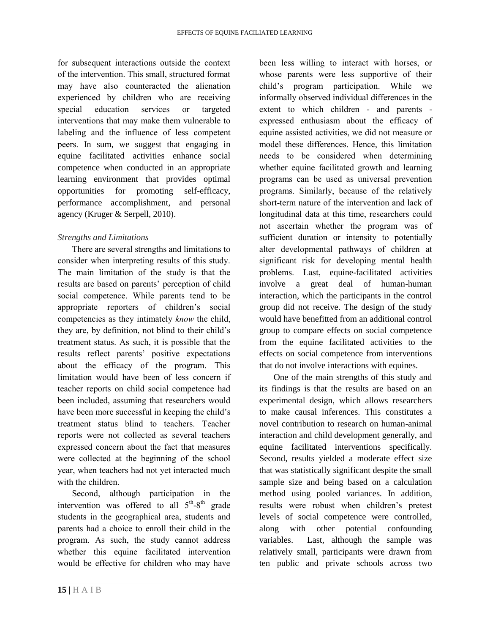for subsequent interactions outside the context of the intervention. This small, structured format may have also counteracted the alienation experienced by children who are receiving special education services or targeted interventions that may make them vulnerable to labeling and the influence of less competent peers. In sum, we suggest that engaging in equine facilitated activities enhance social competence when conducted in an appropriate learning environment that provides optimal opportunities for promoting self-efficacy, performance accomplishment, and personal agency (Kruger & Serpell, 2010).

## *Strengths and Limitations*

There are several strengths and limitations to consider when interpreting results of this study. The main limitation of the study is that the results are based on parents' perception of child social competence. While parents tend to be appropriate reporters of children's social competencies as they intimately *know* the child, they are, by definition, not blind to their child's treatment status. As such, it is possible that the results reflect parents' positive expectations about the efficacy of the program. This limitation would have been of less concern if teacher reports on child social competence had been included, assuming that researchers would have been more successful in keeping the child's treatment status blind to teachers. Teacher reports were not collected as several teachers expressed concern about the fact that measures were collected at the beginning of the school year, when teachers had not yet interacted much with the children.

Second, although participation in the intervention was offered to all  $5<sup>th</sup>-8<sup>th</sup>$  grade students in the geographical area, students and parents had a choice to enroll their child in the program. As such, the study cannot address whether this equine facilitated intervention would be effective for children who may have

been less willing to interact with horses, or whose parents were less supportive of their child's program participation. While we informally observed individual differences in the extent to which children - and parents expressed enthusiasm about the efficacy of equine assisted activities, we did not measure or model these differences. Hence, this limitation needs to be considered when determining whether equine facilitated growth and learning programs can be used as universal prevention programs. Similarly, because of the relatively short-term nature of the intervention and lack of longitudinal data at this time, researchers could not ascertain whether the program was of sufficient duration or intensity to potentially alter developmental pathways of children at significant risk for developing mental health problems. Last, equine-facilitated activities involve a great deal of human-human interaction, which the participants in the control group did not receive. The design of the study would have benefitted from an additional control group to compare effects on social competence from the equine facilitated activities to the effects on social competence from interventions that do not involve interactions with equines.

One of the main strengths of this study and its findings is that the results are based on an experimental design, which allows researchers to make causal inferences. This constitutes a novel contribution to research on human-animal interaction and child development generally, and equine facilitated interventions specifically. Second, results yielded a moderate effect size that was statistically significant despite the small sample size and being based on a calculation method using pooled variances. In addition, results were robust when children's pretest levels of social competence were controlled, along with other potential confounding variables. Last, although the sample was relatively small, participants were drawn from ten public and private schools across two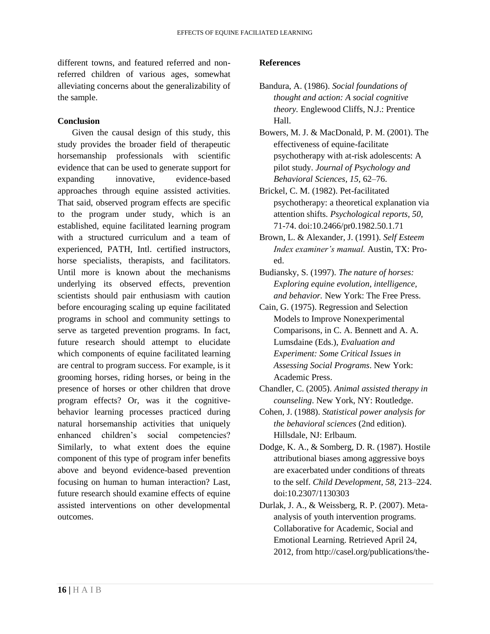different towns, and featured referred and nonreferred children of various ages, somewhat alleviating concerns about the generalizability of the sample.

#### **Conclusion**

Given the causal design of this study, this study provides the broader field of therapeutic horsemanship professionals with scientific evidence that can be used to generate support for expanding innovative, evidence-based approaches through equine assisted activities. That said, observed program effects are specific to the program under study, which is an established, equine facilitated learning program with a structured curriculum and a team of experienced, PATH, Intl. certified instructors, horse specialists, therapists, and facilitators. Until more is known about the mechanisms underlying its observed effects, prevention scientists should pair enthusiasm with caution before encouraging scaling up equine facilitated programs in school and community settings to serve as targeted prevention programs. In fact, future research should attempt to elucidate which components of equine facilitated learning are central to program success. For example, is it grooming horses, riding horses, or being in the presence of horses or other children that drove program effects? Or, was it the cognitivebehavior learning processes practiced during natural horsemanship activities that uniquely enhanced children's social competencies? Similarly, to what extent does the equine component of this type of program infer benefits above and beyond evidence-based prevention focusing on human to human interaction? Last, future research should examine effects of equine assisted interventions on other developmental outcomes.

#### **References**

- Bandura, A. (1986). *Social foundations of thought and action: A social cognitive theory.* Englewood Cliffs, N.J.: Prentice Hall.
- Bowers, M. J. & MacDonald, P. M. (2001). The effectiveness of equine-facilitate psychotherapy with at-risk adolescents: A pilot study. *Journal of Psychology and Behavioral Sciences, 15,* 62–76.
- Brickel, C. M. (1982). Pet-facilitated psychotherapy: a theoretical explanation via attention shifts. *Psychological reports, 50,*  71-74. doi:10.2466/pr0.1982.50.1.71
- Brown, L. & Alexander, J. (1991). *Self Esteem Index examiner's manual.* Austin, TX: Proed.
- Budiansky, S. (1997). *The nature of horses: Exploring equine evolution, intelligence, and behavior.* New York: The Free Press.
- Cain, G. (1975). Regression and Selection Models to Improve Nonexperimental Comparisons, in C. A. Bennett and A. A. Lumsdaine (Eds.), *Evaluation and Experiment: Some Critical Issues in Assessing Social Programs*. New York: Academic Press.
- Chandler, C. (2005). *Animal assisted therapy in counseling*. New York, NY: Routledge.
- Cohen, J. (1988). *Statistical power analysis for the behavioral sciences* (2nd edition). Hillsdale, NJ: Erlbaum.
- Dodge, K. A., & Somberg, D. R. (1987). Hostile attributional biases among aggressive boys are exacerbated under conditions of threats to the self. *Child Development, 58*, 213–224. doi:10.2307/1130303
- Durlak, J. A., & Weissberg, R. P. (2007). Metaanalysis of youth intervention programs. Collaborative for Academic, Social and Emotional Learning. Retrieved April 24, 2012, from http://casel.org/publications/the-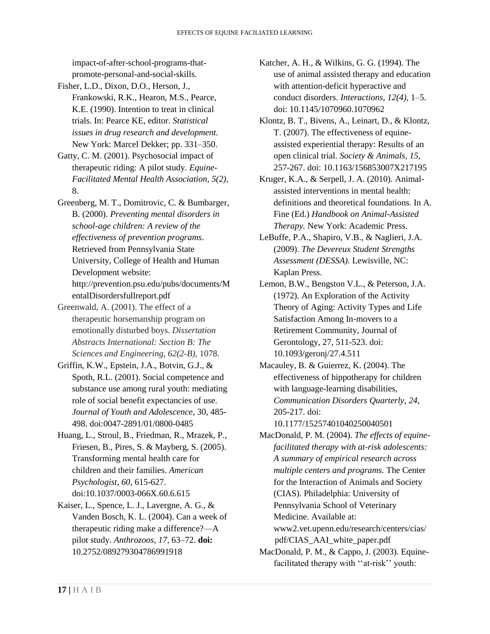impact-of-after-school-programs-thatpromote-personal-and-social-skills.

- Fisher, L.D., Dixon, D.O., Herson, J., Frankowski, R.K., Hearon, M.S., Pearce, K.E. (1990). Intention to treat in clinical trials. In: Pearce KE, editor. *Statistical issues in drug research and development.* New York: Marcel Dekker; pp. 331–350.
- Gatty, C. M. (2001). Psychosocial impact of therapeutic riding: A pilot study. *Equine-Facilitated Mental Health Association, 5(2),* 8.
- Greenberg, M. T., Domitrovic, C. & Bumbarger, B. (2000). *Preventing mental disorders in school-age children: A review of the effectiveness of prevention programs*. Retrieved from Pennsylvania State University, College of Health and Human Development website: http://prevention.psu.edu/pubs/documents/M entalDisordersfullreport.pdf
- Greenwald, A. (2001). The effect of a therapeutic horsemanship program on emotionally disturbed boys. *Dissertation Abstracts International: Section B: The Sciences and Engineering, 62(2-B),* 1078.
- Griffin, K.W., Epstein, J.A., Botvin, G.J., & Spoth, R.L. (2001). Social competence and substance use among rural youth: mediating role of social benefit expectancies of use. *Journal of Youth and Adolescence,* 30, 485- 498. doi:0047-2891/01/0800-0485
- Huang, L., Stroul, B., Friedman, R., Mrazek, P., Friesen, B., Pires, S. & Mayberg, S. (2005). Transforming mental health care for children and their families. *American Psychologist, 60*, 615-627. doi:10.1037/0003-066X.60.6.615
- Kaiser, L., Spence, L. J., Lavergne, A. G., & Vanden Bosch, K. L. (2004). Can a week of therapeutic riding make a difference?—A pilot study. *Anthrozoos, 17,* 63–72. **doi:** 10.2752/089279304786991918
- Katcher, A. H., & Wilkins, G. G. (1994). The use of animal assisted therapy and education with attention-deficit hyperactive and conduct disorders. *Interactions, 12(4),* 1–5. doi: 10.1145/1070960.1070962
- Klontz, B. T., Bivens, A., Leinart, D., & Klontz, T. (2007). The effectiveness of equineassisted experiential therapy: Results of an open clinical trial. *Society & Animals, 15,* 257-267. doi: 10.1163/156853007X217195
- Kruger, K.A., & Serpell, J. A. (2010). Animalassisted interventions in mental health: definitions and theoretical foundations. In A. Fine (Ed.) *Handbook on Animal-Assisted Therapy.* New York: Academic Press.
- LeBuffe, P.A., Shapiro, V.B., & Naglieri, J.A. (2009). *The Devereux Student Strengths Assessment (DESSA).* Lewisville, NC: Kaplan Press.
- Lemon, B.W., Bengston V.L., & Peterson, J.A. (1972). An Exploration of the Activity Theory of Aging: Activity Types and Life Satisfaction Among In-movers to a Retirement Community, Journal of Gerontology, 27, 511-523. doi: 10.1093/geronj/27.4.511
- Macauley, B. & Guierrez, K. (2004). The effectiveness of hippotherapy for children with language-learning disabilities, *Communication Disorders Quarterly, 24,* 205-217. doi:

10.1177/15257401040250040501

- MacDonald, P. M. (2004). *The effects of equinefacilitated therapy with at-risk adolescents: A summary of empirical research across multiple centers and programs.* The Center for the Interaction of Animals and Society (CIAS). Philadelphia: University of Pennsylvania School of Veterinary Medicine. Available at: www2.vet.upenn.edu/research/centers/cias/ pdf/CIAS\_AAI\_white\_paper.pdf
- MacDonald, P. M., & Cappo, J. (2003). Equinefacilitated therapy with ''at-risk'' youth: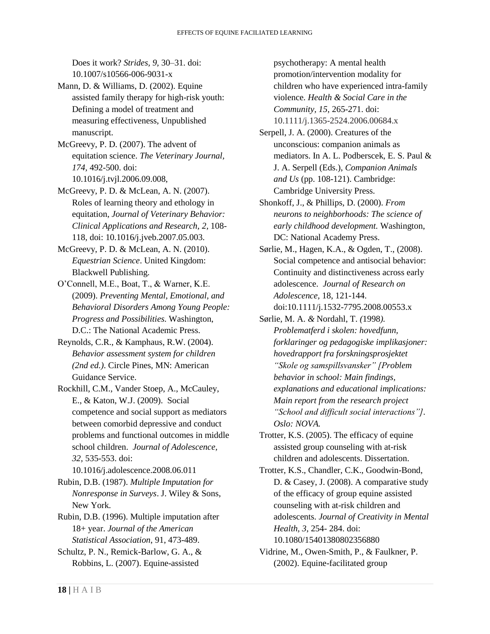Does it work? *Strides, 9,* 30–31. doi: 10.1007/s10566-006-9031-x

Mann, D. & Williams, D. (2002). Equine assisted family therapy for high-risk youth: Defining a model of treatment and measuring effectiveness, Unpublished manuscript.

McGreevy, P. D. (2007). The advent of equitation science. *The Veterinary Journal, 174,* 492-500. doi: 10.1016/j.tvjl.2006.09.008,

McGreevy, P. D. & McLean, A. N. (2007). Roles of learning theory and ethology in equitation, *Journal of Veterinary Behavior: Clinical Applications and Research, 2,* 108- 118, doi: 10.1016/j.jveb.2007.05.003.

McGreevy, P. D. & McLean, A. N. (2010). *Equestrian Science*. United Kingdom: Blackwell Publishing.

O'Connell, M.E., Boat, T., & Warner, K.E. (2009). *Preventing Mental, Emotional, and Behavioral Disorders Among Young People: Progress and Possibilities.* Washington, D.C.: The National Academic Press.

Reynolds, C.R., & Kamphaus, R.W. (2004). *Behavior assessment system for children (2nd ed.)*. Circle Pines, MN: American Guidance Service.

Rockhill, C.M., Vander Stoep, A., McCauley, E., & Katon, W.J. (2009). Social competence and social support as mediators between comorbid depressive and conduct problems and functional outcomes in middle school children. *Journal of Adolescence, 32,* 535-553. doi:

10.1016/j.adolescence.2008.06.011

Rubin, D.B. (1987). *Multiple Imputation for Nonresponse in Surveys*. J. Wiley & Sons, New York.

Rubin, D.B. (1996). Multiple imputation after 18+ year. *Journal of the American Statistical Association*, 91, 473-489.

Schultz, P. N., Remick-Barlow, G. A., & Robbins, L. (2007). Equine-assisted

psychotherapy: A mental health promotion/intervention modality for children who have experienced intra-family violence. *Health & Social Care in the Community, 15,* 265-271. doi: 10.1111/j.1365-2524.2006.00684.x

Serpell, J. A. (2000). Creatures of the unconscious: companion animals as mediators. In A. L. Podberscek, E. S. Paul & J. A. Serpell (Eds.), *Companion Animals and Us* (pp. 108-121). Cambridge: Cambridge University Press.

Shonkoff, J., & Phillips, D. (2000). *From neurons to neighborhoods: The science of early childhood development.* Washington, DC: National Academy Press.

Sørlie, M., Hagen, K.A., & Ogden, T., (2008). Social competence and antisocial behavior: Continuity and distinctiveness across early adolescence. *Journal of Research on Adolescence,* 18, 121-144. doi:10.1111/j.1532-7795.2008.00553.x

Sørlie, M. A. *&* Nordahl, T. *(*1998*). Problematferd i skolen: hovedfunn, forklaringer og pedagogiske implikasjoner: hovedrapport fra forskningsprosjektet "Skole og samspillsvansker" [Problem behavior in school: Main findings, explanations and educational implications: Main report from the research project "School and difficult social interactions"]. Oslo: NOVA.* 

Trotter, K.S. (2005). The efficacy of equine assisted group counseling with at-risk children and adolescents. Dissertation.

Trotter, K.S., Chandler, C.K., Goodwin-Bond, D. & Casey, J. (2008). A comparative study of the efficacy of group equine assisted counseling with at-risk children and adolescents. *Journal of Creativity in Mental Health, 3*, 254- 284. doi: 10.1080/15401380802356880

Vidrine, M., Owen-Smith, P., & Faulkner, P. (2002). Equine-facilitated group